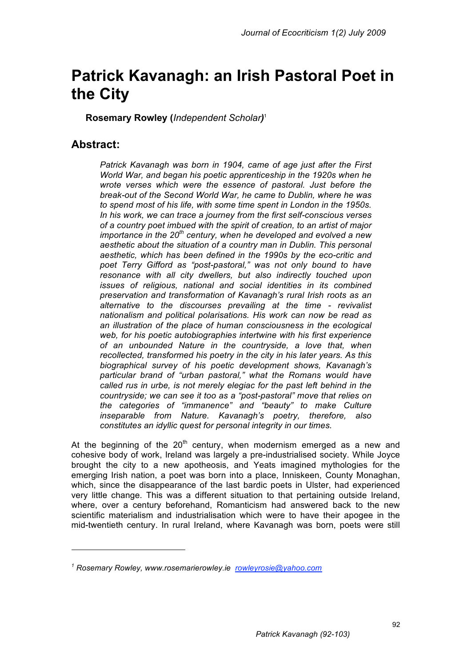# **Patrick Kavanagh: an Irish Pastoral Poet in the City**

**Rosemary Rowley (***Independent Scholar)* 1

## **Abstract:**

 $\overline{a}$ 

*Patrick Kavanagh was born in 1904, came of age just after the First World War, and began his poetic apprenticeship in the 1920s when he wrote verses which were the essence of pastoral. Just before the break-out of the Second World War, he came to Dublin, where he was to spend most of his life, with some time spent in London in the 1950s. In his work, we can trace a journey from the first self-conscious verses of a country poet imbued with the spirit of creation, to an artist of major importance in the 20th century, when he developed and evolved a new aesthetic about the situation of a country man in Dublin. This personal aesthetic, which has been defined in the 1990s by the eco-critic and poet Terry Gifford as "post-pastoral," was not only bound to have resonance with all city dwellers, but also indirectly touched upon issues of religious, national and social identities in its combined preservation and transformation of Kavanagh's rural Irish roots as an alternative to the discourses prevailing at the time - revivalist nationalism and political polarisations. His work can now be read as an illustration of the place of human consciousness in the ecological web, for his poetic autobiographies intertwine with his first experience of an unbounded Nature in the countryside, a love that, when recollected, transformed his poetry in the city in his later years. As this biographical survey of his poetic development shows, Kavanagh's particular brand of "urban pastoral," what the Romans would have called rus in urbe, is not merely elegiac for the past left behind in the countryside; we can see it too as a "post-pastoral" move that relies on the categories of "immanence" and "beauty" to make Culture inseparable from Nature. Kavanagh's poetry, therefore, also constitutes an idyllic quest for personal integrity in our times.*

At the beginning of the  $20<sup>th</sup>$  century, when modernism emerged as a new and cohesive body of work, Ireland was largely a pre-industrialised society. While Joyce brought the city to a new apotheosis, and Yeats imagined mythologies for the emerging Irish nation, a poet was born into a place, Inniskeen, County Monaghan, which, since the disappearance of the last bardic poets in Ulster, had experienced very little change. This was a different situation to that pertaining outside Ireland, where, over a century beforehand, Romanticism had answered back to the new scientific materialism and industrialisation which were to have their apogee in the mid-twentieth century. In rural Ireland, where Kavanagh was born, poets were still

*<sup>1</sup> Rosemary Rowley, www.rosemarierowley.ie rowleyrosie@yahoo.com*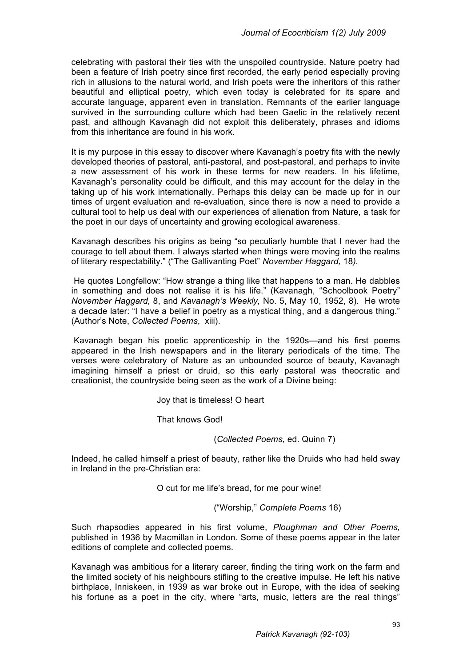celebrating with pastoral their ties with the unspoiled countryside. Nature poetry had been a feature of Irish poetry since first recorded, the early period especially proving rich in allusions to the natural world, and Irish poets were the inheritors of this rather beautiful and elliptical poetry, which even today is celebrated for its spare and accurate language, apparent even in translation. Remnants of the earlier language survived in the surrounding culture which had been Gaelic in the relatively recent past, and although Kavanagh did not exploit this deliberately, phrases and idioms from this inheritance are found in his work.

It is my purpose in this essay to discover where Kavanagh's poetry fits with the newly developed theories of pastoral, anti-pastoral, and post-pastoral, and perhaps to invite a new assessment of his work in these terms for new readers. In his lifetime, Kavanagh's personality could be difficult, and this may account for the delay in the taking up of his work internationally. Perhaps this delay can be made up for in our times of urgent evaluation and re-evaluation, since there is now a need to provide a cultural tool to help us deal with our experiences of alienation from Nature, a task for the poet in our days of uncertainty and growing ecological awareness.

Kavanagh describes his origins as being "so peculiarly humble that I never had the courage to tell about them. I always started when things were moving into the realms of literary respectability." ("The Gallivanting Poet" *November Haggard,* 18*).*

He quotes Longfellow: "How strange a thing like that happens to a man. He dabbles in something and does not realise it is his life." (Kavanagh, "Schoolbook Poetry" *November Haggard,* 8, and *Kavanagh's Weekly,* No. 5, May 10, 1952, 8). He wrote a decade later: "I have a belief in poetry as a mystical thing, and a dangerous thing." (Author's Note, *Collected Poems*, xiii).

 Kavanagh began his poetic apprenticeship in the 1920s—and his first poems appeared in the Irish newspapers and in the literary periodicals of the time. The verses were celebratory of Nature as an unbounded source of beauty, Kavanagh imagining himself a priest or druid, so this early pastoral was theocratic and creationist, the countryside being seen as the work of a Divine being:

Joy that is timeless! O heart

That knows God!

(*Collected Poems,* ed. Quinn 7)

Indeed, he called himself a priest of beauty, rather like the Druids who had held sway in Ireland in the pre-Christian era:

O cut for me life's bread, for me pour wine!

("Worship," *Complete Poems* 16)

Such rhapsodies appeared in his first volume, *Ploughman and Other Poems,*  published in 1936 by Macmillan in London. Some of these poems appear in the later editions of complete and collected poems.

Kavanagh was ambitious for a literary career, finding the tiring work on the farm and the limited society of his neighbours stifling to the creative impulse. He left his native birthplace, Inniskeen, in 1939 as war broke out in Europe, with the idea of seeking his fortune as a poet in the city, where "arts, music, letters are the real things"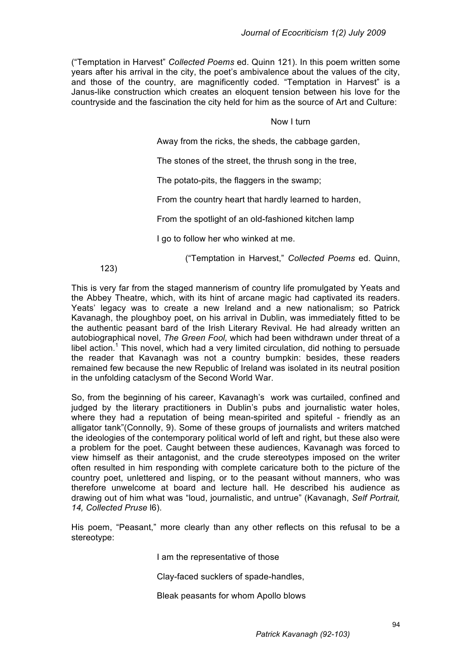("Temptation in Harvest" *Collected Poems* ed. Quinn 121). In this poem written some years after his arrival in the city, the poet's ambivalence about the values of the city, and those of the country, are magnificently coded. "Temptation in Harvest" is a Janus-like construction which creates an eloquent tension between his love for the countryside and the fascination the city held for him as the source of Art and Culture:

#### Now I turn

Away from the ricks, the sheds, the cabbage garden,

The stones of the street, the thrush song in the tree,

The potato-pits, the flaggers in the swamp;

From the country heart that hardly learned to harden,

From the spotlight of an old-fashioned kitchen lamp

I go to follow her who winked at me.

("Temptation in Harvest," *Collected Poems* ed. Quinn,

123)

This is very far from the staged mannerism of country life promulgated by Yeats and the Abbey Theatre, which, with its hint of arcane magic had captivated its readers. Yeats' legacy was to create a new Ireland and a new nationalism; so Patrick Kavanagh, the ploughboy poet, on his arrival in Dublin, was immediately fitted to be the authentic peasant bard of the Irish Literary Revival. He had already written an autobiographical novel, *The Green Fool,* which had been withdrawn under threat of a libel action.<sup>1</sup> This novel, which had a very limited circulation, did nothing to persuade the reader that Kavanagh was not a country bumpkin: besides, these readers remained few because the new Republic of Ireland was isolated in its neutral position in the unfolding cataclysm of the Second World War.

So, from the beginning of his career, Kavanagh's work was curtailed, confined and judged by the literary practitioners in Dublin's pubs and journalistic water holes, where they had a reputation of being mean-spirited and spiteful - friendly as an alligator tank"(Connolly, 9). Some of these groups of journalists and writers matched the ideologies of the contemporary political world of left and right, but these also were a problem for the poet. Caught between these audiences, Kavanagh was forced to view himself as their antagonist, and the crude stereotypes imposed on the writer often resulted in him responding with complete caricature both to the picture of the country poet, unlettered and lisping, or to the peasant without manners, who was therefore unwelcome at board and lecture hall. He described his audience as drawing out of him what was "loud, journalistic, and untrue" (Kavanagh, *Self Portrait, 14, Collected Pruse* l6).

His poem, "Peasant," more clearly than any other reflects on this refusal to be a stereotype:

I am the representative of those

Clay-faced sucklers of spade-handles,

Bleak peasants for whom Apollo blows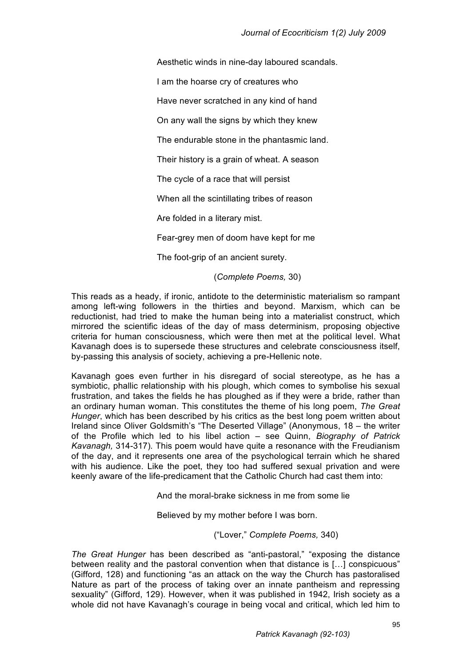Aesthetic winds in nine-day laboured scandals.

I am the hoarse cry of creatures who

Have never scratched in any kind of hand

On any wall the signs by which they knew

The endurable stone in the phantasmic land.

Their history is a grain of wheat. A season

The cycle of a race that will persist

When all the scintillating tribes of reason

Are folded in a literary mist.

Fear-grey men of doom have kept for me

The foot-grip of an ancient surety.

(*Complete Poems,* 30)

This reads as a heady, if ironic, antidote to the deterministic materialism so rampant among left-wing followers in the thirties and beyond. Marxism, which can be reductionist, had tried to make the human being into a materialist construct, which mirrored the scientific ideas of the day of mass determinism, proposing objective criteria for human consciousness, which were then met at the political level. What Kavanagh does is to supersede these structures and celebrate consciousness itself, by-passing this analysis of society, achieving a pre-Hellenic note.

Kavanagh goes even further in his disregard of social stereotype, as he has a symbiotic, phallic relationship with his plough, which comes to symbolise his sexual frustration, and takes the fields he has ploughed as if they were a bride, rather than an ordinary human woman. This constitutes the theme of his long poem, *The Great Hunger*, which has been described by his critics as the best long poem written about Ireland since Oliver Goldsmith's "The Deserted Village" (Anonymous, 18 – the writer of the Profile which led to his libel action – see Quinn, *Biography of Patrick Kavanagh,* 314-317)*.* This poem would have quite a resonance with the Freudianism of the day, and it represents one area of the psychological terrain which he shared with his audience. Like the poet, they too had suffered sexual privation and were keenly aware of the life-predicament that the Catholic Church had cast them into:

And the moral-brake sickness in me from some lie

Believed by my mother before I was born.

("Lover," *Complete Poems,* 340)

*The Great Hunger* has been described as "anti-pastoral," "exposing the distance between reality and the pastoral convention when that distance is […] conspicuous" (Gifford, 128) and functioning "as an attack on the way the Church has pastoralised Nature as part of the process of taking over an innate pantheism and repressing sexuality" (Gifford, 129). However, when it was published in 1942, Irish society as a whole did not have Kavanagh's courage in being vocal and critical, which led him to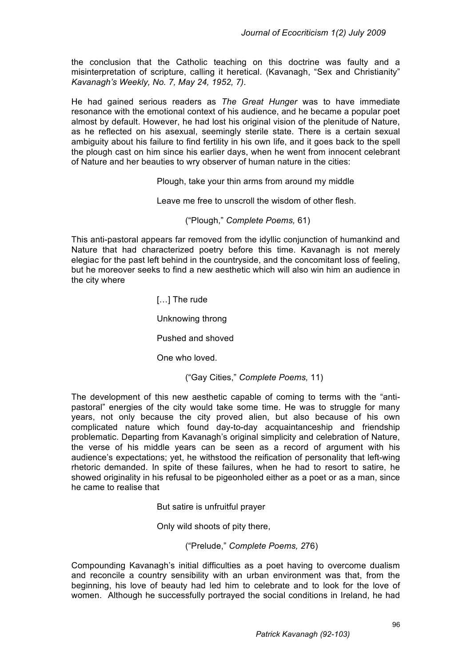the conclusion that the Catholic teaching on this doctrine was faulty and a misinterpretation of scripture, calling it heretical. (Kavanagh, "Sex and Christianity" *Kavanagh's Weekly, No. 7, May 24, 1952, 7)*.

He had gained serious readers as *The Great Hunger* was to have immediate resonance with the emotional context of his audience, and he became a popular poet almost by default. However, he had lost his original vision of the plenitude of Nature, as he reflected on his asexual, seemingly sterile state. There is a certain sexual ambiguity about his failure to find fertility in his own life, and it goes back to the spell the plough cast on him since his earlier days, when he went from innocent celebrant of Nature and her beauties to wry observer of human nature in the cities:

Plough, take your thin arms from around my middle

Leave me free to unscroll the wisdom of other flesh.

("Plough," *Complete Poems,* 61)

This anti-pastoral appears far removed from the idyllic conjunction of humankind and Nature that had characterized poetry before this time. Kavanagh is not merely elegiac for the past left behind in the countryside, and the concomitant loss of feeling, but he moreover seeks to find a new aesthetic which will also win him an audience in the city where

> [...] The rude Unknowing throng Pushed and shoved One who loved.

> > ("Gay Cities," *Complete Poems,* 11)

The development of this new aesthetic capable of coming to terms with the "antipastoral" energies of the city would take some time. He was to struggle for many years, not only because the city proved alien, but also because of his own complicated nature which found day-to-day acquaintanceship and friendship problematic. Departing from Kavanagh's original simplicity and celebration of Nature, the verse of his middle years can be seen as a record of argument with his audience's expectations; yet, he withstood the reification of personality that left-wing rhetoric demanded. In spite of these failures, when he had to resort to satire, he showed originality in his refusal to be pigeonholed either as a poet or as a man, since he came to realise that

But satire is unfruitful prayer

Only wild shoots of pity there,

("Prelude," *Complete Poems, 2*76)

Compounding Kavanagh's initial difficulties as a poet having to overcome dualism and reconcile a country sensibility with an urban environment was that, from the beginning, his love of beauty had led him to celebrate and to look for the love of women. Although he successfully portrayed the social conditions in Ireland, he had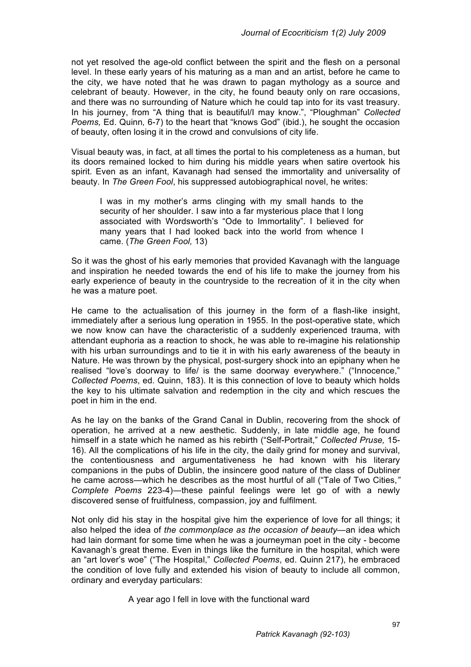not yet resolved the age-old conflict between the spirit and the flesh on a personal level. In these early years of his maturing as a man and an artist, before he came to the city, we have noted that he was drawn to pagan mythology as a source and celebrant of beauty. However, in the city, he found beauty only on rare occasions, and there was no surrounding of Nature which he could tap into for its vast treasury. In his journey, from "A thing that is beautiful/I may know.", "Ploughman" *Collected Poems,* Ed. Quinn*,* 6-7) to the heart that "knows God" (ibid.), he sought the occasion of beauty, often losing it in the crowd and convulsions of city life.

Visual beauty was, in fact, at all times the portal to his completeness as a human, but its doors remained locked to him during his middle years when satire overtook his spirit. Even as an infant, Kavanagh had sensed the immortality and universality of beauty. In *The Green Fool*, his suppressed autobiographical novel, he writes:

I was in my mother's arms clinging with my small hands to the security of her shoulder. I saw into a far mysterious place that I long associated with Wordsworth's "Ode to Immortality". I believed for many years that I had looked back into the world from whence I came. (*The Green Fool,* 13)

So it was the ghost of his early memories that provided Kavanagh with the language and inspiration he needed towards the end of his life to make the journey from his early experience of beauty in the countryside to the recreation of it in the city when he was a mature poet.

He came to the actualisation of this journey in the form of a flash-like insight, immediately after a serious lung operation in 1955. In the post-operative state, which we now know can have the characteristic of a suddenly experienced trauma, with attendant euphoria as a reaction to shock, he was able to re-imagine his relationship with his urban surroundings and to tie it in with his early awareness of the beauty in Nature. He was thrown by the physical, post-surgery shock into an epiphany when he realised "love's doorway to life/ is the same doorway everywhere." ("Innocence," *Collected Poems*, ed. Quinn, 183). It is this connection of love to beauty which holds the key to his ultimate salvation and redemption in the city and which rescues the poet in him in the end.

As he lay on the banks of the Grand Canal in Dublin, recovering from the shock of operation, he arrived at a new aesthetic. Suddenly, in late middle age, he found himself in a state which he named as his rebirth ("Self-Portrait," *Collected Pruse,* 15- 16). All the complications of his life in the city, the daily grind for money and survival, the contentiousness and argumentativeness he had known with his literary companions in the pubs of Dublin, the insincere good nature of the class of Dubliner he came across—which he describes as the most hurtful of all ("Tale of Two Cities,*" Complete Poems* 223-4)―these painful feelings were let go of with a newly discovered sense of fruitfulness, compassion, joy and fulfilment.

Not only did his stay in the hospital give him the experience of love for all things; it also helped the idea of *the commonplace as the occasion of beauty*—an idea which had lain dormant for some time when he was a journeyman poet in the city - become Kavanagh's great theme. Even in things like the furniture in the hospital, which were an "art lover's woe" ("The Hospital," *Collected Poems*, ed. Quinn 217), he embraced the condition of love fully and extended his vision of beauty to include all common, ordinary and everyday particulars:

A year ago I fell in love with the functional ward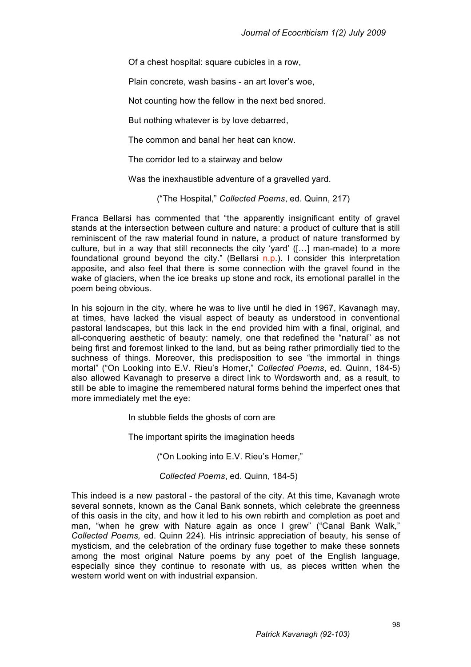Of a chest hospital: square cubicles in a row,

Plain concrete, wash basins - an art lover's woe,

Not counting how the fellow in the next bed snored.

But nothing whatever is by love debarred,

The common and banal her heat can know.

The corridor led to a stairway and below

Was the inexhaustible adventure of a gravelled yard.

("The Hospital," *Collected Poems*, ed. Quinn, 217)

Franca Bellarsi has commented that "the apparently insignificant entity of gravel stands at the intersection between culture and nature: a product of culture that is still reminiscent of the raw material found in nature, a product of nature transformed by culture, but in a way that still reconnects the city 'yard' ([…] man-made) to a more foundational ground beyond the city." (Bellarsi n.p.). I consider this interpretation apposite, and also feel that there is some connection with the gravel found in the wake of glaciers, when the ice breaks up stone and rock, its emotional parallel in the poem being obvious.

In his sojourn in the city, where he was to live until he died in 1967, Kavanagh may, at times, have lacked the visual aspect of beauty as understood in conventional pastoral landscapes, but this lack in the end provided him with a final, original, and all-conquering aesthetic of beauty: namely, one that redefined the "natural" as not being first and foremost linked to the land, but as being rather primordially tied to the suchness of things. Moreover, this predisposition to see "the immortal in things mortal" ("On Looking into E.V. Rieu's Homer," *Collected Poems*, ed. Quinn, 184-5) also allowed Kavanagh to preserve a direct link to Wordsworth and, as a result, to still be able to imagine the remembered natural forms behind the imperfect ones that more immediately met the eye:

In stubble fields the ghosts of corn are

The important spirits the imagination heeds

("On Looking into E.V. Rieu's Homer,"

 *Collected Poems*, ed. Quinn, 184-5)

This indeed is a new pastoral - the pastoral of the city. At this time, Kavanagh wrote several sonnets, known as the Canal Bank sonnets, which celebrate the greenness of this oasis in the city, and how it led to his own rebirth and completion as poet and man, "when he grew with Nature again as once I grew" ("Canal Bank Walk*,*" *Collected Poems,* ed. Quinn 224). His intrinsic appreciation of beauty, his sense of mysticism, and the celebration of the ordinary fuse together to make these sonnets among the most original Nature poems by any poet of the English language, especially since they continue to resonate with us, as pieces written when the western world went on with industrial expansion.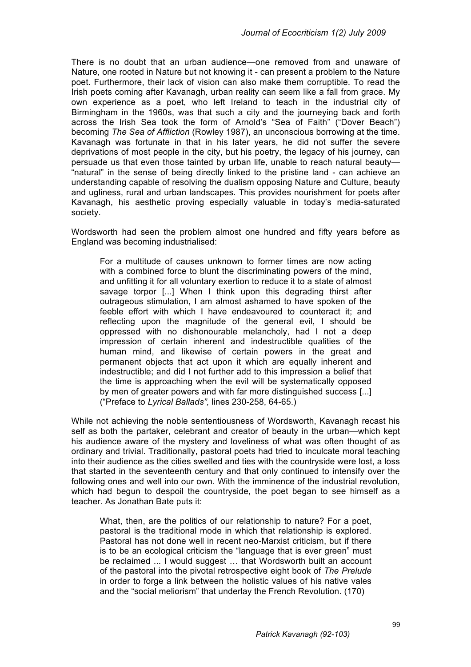There is no doubt that an urban audience—one removed from and unaware of Nature, one rooted in Nature but not knowing it - can present a problem to the Nature poet. Furthermore, their lack of vision can also make them corruptible. To read the Irish poets coming after Kavanagh, urban reality can seem like a fall from grace. My own experience as a poet, who left Ireland to teach in the industrial city of Birmingham in the 1960s, was that such a city and the journeying back and forth across the Irish Sea took the form of Arnold's "Sea of Faith" ("Dover Beach") becoming *The Sea of Affliction* (Rowley 1987), an unconscious borrowing at the time. Kavanagh was fortunate in that in his later years, he did not suffer the severe deprivations of most people in the city, but his poetry, the legacy of his journey, can persuade us that even those tainted by urban life, unable to reach natural beauty— "natural" in the sense of being directly linked to the pristine land - can achieve an understanding capable of resolving the dualism opposing Nature and Culture, beauty and ugliness, rural and urban landscapes. This provides nourishment for poets after Kavanagh, his aesthetic proving especially valuable in today's media-saturated society.

Wordsworth had seen the problem almost one hundred and fifty years before as England was becoming industrialised:

For a multitude of causes unknown to former times are now acting with a combined force to blunt the discriminating powers of the mind, and unfitting it for all voluntary exertion to reduce it to a state of almost savage torpor [...] When I think upon this degrading thirst after outrageous stimulation, I am almost ashamed to have spoken of the feeble effort with which I have endeavoured to counteract it; and reflecting upon the magnitude of the general evil, I should be oppressed with no dishonourable melancholy, had I not a deep impression of certain inherent and indestructible qualities of the human mind, and likewise of certain powers in the great and permanent objects that act upon it which are equally inherent and indestructible; and did I not further add to this impression a belief that the time is approaching when the evil will be systematically opposed by men of greater powers and with far more distinguished success [...] ("Preface to *Lyrical Ballads",* lines 230-258, 64-65.)

While not achieving the noble sententiousness of Wordsworth, Kavanagh recast his self as both the partaker, celebrant and creator of beauty in the urban—which kept his audience aware of the mystery and loveliness of what was often thought of as ordinary and trivial. Traditionally, pastoral poets had tried to inculcate moral teaching into their audience as the cities swelled and ties with the countryside were lost, a loss that started in the seventeenth century and that only continued to intensify over the following ones and well into our own. With the imminence of the industrial revolution, which had begun to despoil the countryside, the poet began to see himself as a teacher. As Jonathan Bate puts it:

What, then, are the politics of our relationship to nature? For a poet, pastoral is the traditional mode in which that relationship is explored. Pastoral has not done well in recent neo-Marxist criticism, but if there is to be an ecological criticism the "language that is ever green" must be reclaimed ... I would suggest … that Wordsworth built an account of the pastoral into the pivotal retrospective eight book of *The Prelude* in order to forge a link between the holistic values of his native vales and the "social meliorism" that underlay the French Revolution. (170)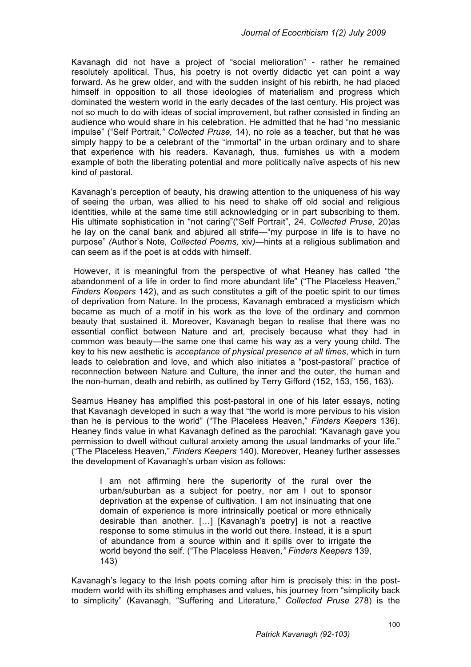Kavanagh did not have a project of "social melioration" - rather he remained resolutely apolitical. Thus, his poetry is not overtly didactic yet can point a way forward. As he grew older, and with the sudden insight of his rebirth, he had placed himself in opposition to all those ideologies of materialism and progress which dominated the western world in the early decades of the last century. His project was not so much to do with ideas of social improvement, but rather consisted in finding an audience who would share in his celebration. He admitted that he had "no messianic impulse" ("Self Portrait*," Collected Pruse,* 14), no role as a teacher, but that he was simply happy to be a celebrant of the "immortal" in the urban ordinary and to share that experience with his readers. Kavanagh, thus, furnishes us with a modern example of both the liberating potential and more politically naïve aspects of his new kind of pastoral.

Kavanagh's perception of beauty, his drawing attention to the uniqueness of his way of seeing the urban, was allied to his need to shake off old social and religious identities, while at the same time still acknowledging or in part subscribing to them. His ultimate sophistication in "not caring"("Self Portrait", 24, *Collected Pruse,* 20)as he lay on the canal bank and abjured all strife—"my purpose in life is to have no purpose" *(*Author's Note*, Collected Poems,* xiv*)―*hints at a religious sublimation and can seem as if the poet is at odds with himself.

 However, it is meaningful from the perspective of what Heaney has called "the abandonment of a life in order to find more abundant life" ("The Placeless Heaven," *Finders Keepers* 142), and as such constitutes a gift of the poetic spirit to our times of deprivation from Nature. In the process, Kavanagh embraced a mysticism which became as much of a motif in his work as the love of the ordinary and common beauty that sustained it. Moreover, Kavanagh began to realise that there was no essential conflict between Nature and art, precisely because what they had in common was beauty—the same one that came his way as a very young child. The key to his new aesthetic is *acceptance of physical presence at all times*, which in turn leads to celebration and love, and which also initiates a "post-pastoral" practice of reconnection between Nature and Culture, the inner and the outer, the human and the non-human, death and rebirth, as outlined by Terry Gifford (152, 153, 156, 163).

Seamus Heaney has amplified this post-pastoral in one of his later essays, noting that Kavanagh developed in such a way that "the world is more pervious to his vision than he is pervious to the world" ("The Placeless Heaven," *Finders Keepers* 136). Heaney finds value in what Kavanagh defined as the parochial: "Kavanagh gave you permission to dwell without cultural anxiety among the usual landmarks of your life." ("The Placeless Heaven," *Finders Keepers* 140). Moreover, Heaney further assesses the development of Kavanagh's urban vision as follows:

I am not affirming here the superiority of the rural over the urban/suburban as a subject for poetry, nor am I out to sponsor deprivation at the expense of cultivation. I am not insinuating that one domain of experience is more intrinsically poetical or more ethnically desirable than another. […] [Kavanagh's poetry] is not a reactive response to some stimulus in the world out there. Instead, it is a spurt of abundance from a source within and it spills over to irrigate the world beyond the self. ("The Placeless Heaven*," Finders Keepers* 139, 143)

Kavanagh's legacy to the Irish poets coming after him is precisely this: in the postmodern world with its shifting emphases and values, his journey from "simplicity back to simplicity" (Kavanagh, "Suffering and Literature," *Collected Pruse* 278) is the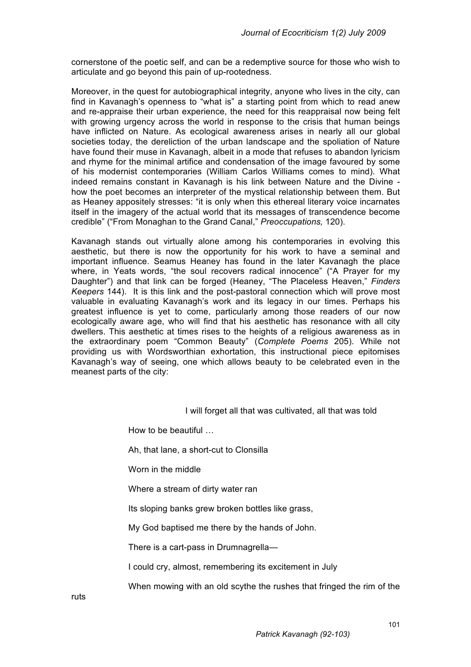cornerstone of the poetic self, and can be a redemptive source for those who wish to articulate and go beyond this pain of up-rootedness.

Moreover, in the quest for autobiographical integrity, anyone who lives in the city, can find in Kavanagh's openness to "what is" a starting point from which to read anew and re-appraise their urban experience, the need for this reappraisal now being felt with growing urgency across the world in response to the crisis that human beings have inflicted on Nature. As ecological awareness arises in nearly all our global societies today, the dereliction of the urban landscape and the spoliation of Nature have found their muse in Kavanagh, albeit in a mode that refuses to abandon lyricism and rhyme for the minimal artifice and condensation of the image favoured by some of his modernist contemporaries (William Carlos Williams comes to mind). What indeed remains constant in Kavanagh is his link between Nature and the Divine how the poet becomes an interpreter of the mystical relationship between them. But as Heaney appositely stresses: "it is only when this ethereal literary voice incarnates itself in the imagery of the actual world that its messages of transcendence become credible" ("From Monaghan to the Grand Canal," *Preoccupations,* 120).

Kavanagh stands out virtually alone among his contemporaries in evolving this aesthetic, but there is now the opportunity for his work to have a seminal and important influence. Seamus Heaney has found in the later Kavanagh the place where, in Yeats words, "the soul recovers radical innocence" ("A Prayer for my Daughter") and that link can be forged (Heaney, "The Placeless Heaven," *Finders Keepers* 144). It is this link and the post-pastoral connection which will prove most valuable in evaluating Kavanagh's work and its legacy in our times. Perhaps his greatest influence is yet to come, particularly among those readers of our now ecologically aware age, who will find that his aesthetic has resonance with all city dwellers. This aesthetic at times rises to the heights of a religious awareness as in the extraordinary poem "Common Beauty" (*Complete Poems* 205). While not providing us with Wordsworthian exhortation, this instructional piece epitomises Kavanagh's way of seeing, one which allows beauty to be celebrated even in the meanest parts of the city:

I will forget all that was cultivated, all that was told

How to be beautiful …

Ah, that lane, a short-cut to Clonsilla

Worn in the middle

Where a stream of dirty water ran

Its sloping banks grew broken bottles like grass,

My God baptised me there by the hands of John.

There is a cart-pass in Drumnagrella—

I could cry, almost, remembering its excitement in July

When mowing with an old scythe the rushes that fringed the rim of the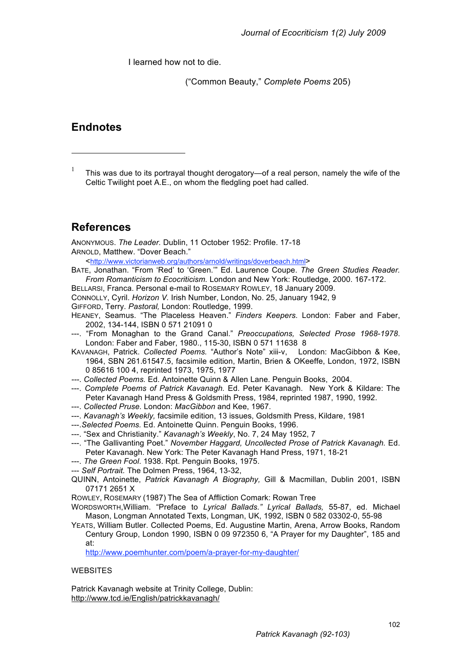I learned how not to die.

("Common Beauty," *Complete Poems* 205)

#### **Endnotes**

<sup>1</sup> This was due to its portrayal thought derogatory—of a real person, namely the wife of the Celtic Twilight poet A.E., on whom the fledgling poet had called.

### **References**

ANONYMOUS. *The Leader.* Dublin, 11 October 1952: Profile. 17-18 ARNOLD, Matthew. "Dover Beach."

<http://www.victorianweb.org/authors/arnold/writings/doverbeach.html>

- BATE, Jonathan. "From 'Red' to 'Green.'" Ed. Laurence Coupe. *The Green Studies Reader. From Romanticism to Ecocriticism.* London and New York: Routledge, 2000. 167-172.
- BELLARSI, Franca. Personal e-mail to ROSEMARY ROWLEY, 18 January 2009.
- CONNOLLY, Cyril. *Horizon V.* Irish Number, London, No. 25, January 1942, 9
- GIFFORD, Terry. *Pastoral,* London: Routledge, 1999.
- HEANEY, Seamus. "The Placeless Heaven." *Finders Keepers*. London: Faber and Faber, 2002, 134-144, ISBN 0 571 21091 0
- ---. "From Monaghan to the Grand Canal." *Preoccupations, Selected Prose 1968-1978*. London: Faber and Faber, 1980., 115-30, ISBN 0 571 11638 8
- KAVANAGH, Patrick. *Collected Poems.* "Author's Note" xiii-v, London: MacGibbon & Kee, 1964, SBN 261.61547.5, facsimile edition, Martin, Brien & OKeeffe, London, 1972, ISBN 0 85616 100 4, reprinted 1973, 1975, 1977
- *---*. *Collected Poems.* Ed. Antoinette Quinn & Allen Lane. Penguin Books, 2004.
- ---. *Complete Poems of Patrick Kavanagh.* Ed. Peter Kavanagh. New York & Kildare: The Peter Kavanagh Hand Press & Goldsmith Press, 1984, reprinted 1987, 1990, 1992.
- ---. *Collected Pruse.* London: *MacGibbon* and Kee, 1967.
- ---. *Kavanagh's Weekly,* facsimile edition, 13 issues, Goldsmith Press, Kildare, 1981
- ---.*Selected Poems.* Ed. Antoinette Quinn. Penguin Books, 1996.
- ---. "Sex and Christianity." *Kavanagh's Weekly*, No. 7, 24 May 1952, 7
- ---. "The Gallivanting Poet." *November Haggard, Uncollected Prose of Patrick Kavanagh.* Ed. Peter Kavanagh. New York: The Peter Kavanagh Hand Press, 1971, 18-21
- ---. *The Green Fool*. 1938. Rpt. Penguin Books, 1975.
- --- *Self Portrait.* The Dolmen Press, 1964, 13-32,
- QUINN, Antoinette, *Patrick Kavanagh A Biography,* Gill & Macmillan, Dublin 2001, ISBN 07171 2651 X
- ROWLEY, ROSEMARY (1987) The Sea of Affliction Comark: Rowan Tree
- WORDSWORTH,William. "Preface to *Lyrical Ballads." Lyrical Ballads,* 55-87, ed. Michael Mason, Longman Annotated Texts, Longman, UK, 1992, ISBN 0 582 03302-0, 55-98
- YEATS, William Butler. Collected Poems, Ed. Augustine Martin, Arena, Arrow Books, Random Century Group, London 1990, ISBN 0 09 972350 6, "A Prayer for my Daughter", 185 and at:

http://www.poemhunter.com/poem/a-prayer-for-my-daughter/

#### **WEBSITES**

Patrick Kavanagh website at Trinity College, Dublin: http://www.tcd.ie/English/patrickkavanagh/